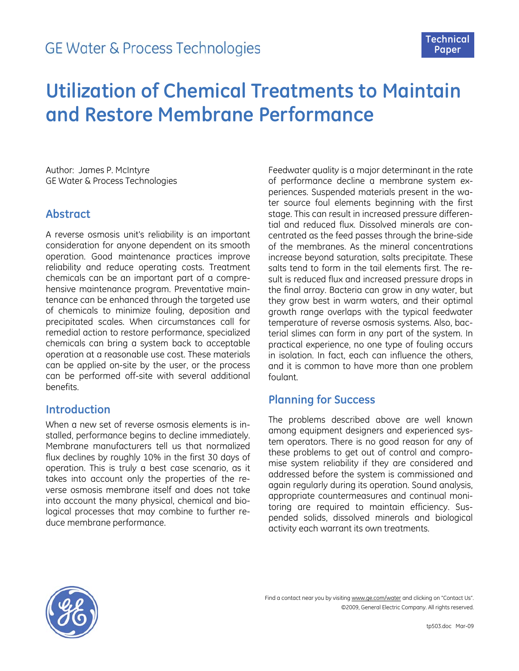

# **Utilization of Chemical Treatments to Maintain and Restore Membrane Performance**

Author: James P. McIntyre GE Water & Process Technologies

### **Abstract**

A reverse osmosis unit's reliability is an important consideration for anyone dependent on its smooth operation. Good maintenance practices improve reliability and reduce operating costs. Treatment chemicals can be an important part of a comprehensive maintenance program. Preventative maintenance can be enhanced through the targeted use of chemicals to minimize fouling, deposition and precipitated scales. When circumstances call for remedial action to restore performance, specialized chemicals can bring a system back to acceptable operation at a reasonable use cost. These materials can be applied on-site by the user, or the process can be performed off-site with several additional benefits.

## **Introduction**

When a new set of reverse osmosis elements is installed, performance begins to decline immediately. Membrane manufacturers tell us that normalized flux declines by roughly 10% in the first 30 days of operation. This is truly a best case scenario, as it takes into account only the properties of the reverse osmosis membrane itself and does not take into account the many physical, chemical and biological processes that may combine to further reduce membrane performance.

Feedwater quality is a major determinant in the rate of performance decline a membrane system experiences. Suspended materials present in the water source foul elements beginning with the first stage. This can result in increased pressure differential and reduced flux. Dissolved minerals are concentrated as the feed passes through the brine-side of the membranes. As the mineral concentrations increase beyond saturation, salts precipitate. These salts tend to form in the tail elements first. The result is reduced flux and increased pressure drops in the final array. Bacteria can grow in any water, but they grow best in warm waters, and their optimal growth range overlaps with the typical feedwater temperature of reverse osmosis systems. Also, bacterial slimes can form in any part of the system. In practical experience, no one type of fouling occurs in isolation. In fact, each can influence the others, and it is common to have more than one problem foulant.

# **Planning for Success**

The problems described above are well known among equipment designers and experienced system operators. There is no good reason for any of these problems to get out of control and compromise system reliability if they are considered and addressed before the system is commissioned and again regularly during its operation. Sound analysis, appropriate countermeasures and continual monitoring are required to maintain efficiency. Suspended solids, dissolved minerals and biological activity each warrant its own treatments.

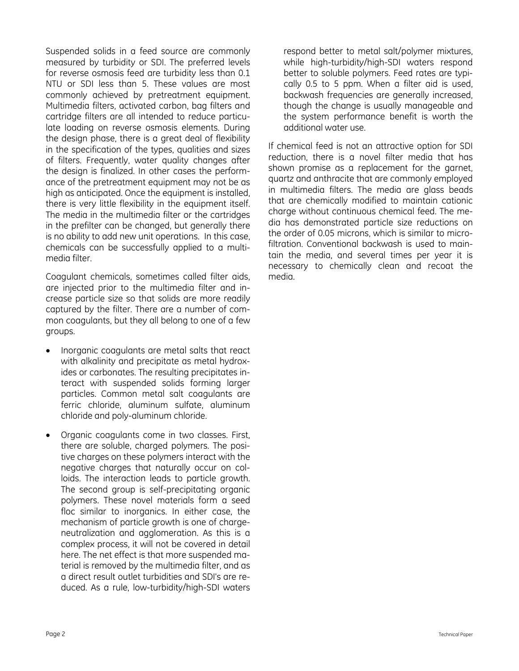Suspended solids in a feed source are commonly measured by turbidity or SDI. The preferred levels for reverse osmosis feed are turbidity less than 0.1 NTU or SDI less than 5. These values are most commonly achieved by pretreatment equipment. Multimedia filters, activated carbon, bag filters and cartridge filters are all intended to reduce particulate loading on reverse osmosis elements. During the design phase, there is a great deal of flexibility in the specification of the types, qualities and sizes of filters. Frequently, water quality changes after the design is finalized. In other cases the performance of the pretreatment equipment may not be as high as anticipated. Once the equipment is installed, there is very little flexibility in the equipment itself. The media in the multimedia filter or the cartridges in the prefilter can be changed, but generally there is no ability to add new unit operations. In this case, chemicals can be successfully applied to a multimedia filter.

Coagulant chemicals, sometimes called filter aids, are injected prior to the multimedia filter and increase particle size so that solids are more readily captured by the filter. There are a number of common coagulants, but they all belong to one of a few groups.

- Inorganic coagulants are metal salts that react with alkalinity and precipitate as metal hydroxides or carbonates. The resulting precipitates interact with suspended solids forming larger particles. Common metal salt coagulants are ferric chloride, aluminum sulfate, aluminum chloride and poly-aluminum chloride.
- Organic coagulants come in two classes. First, there are soluble, charged polymers. The positive charges on these polymers interact with the negative charges that naturally occur on colloids. The interaction leads to particle growth. The second group is self-precipitating organic polymers. These novel materials form a seed floc similar to inorganics. In either case, the mechanism of particle growth is one of chargeneutralization and agglomeration. As this is a complex process, it will not be covered in detail here. The net effect is that more suspended material is removed by the multimedia filter, and as a direct result outlet turbidities and SDI's are reduced. As a rule, low-turbidity/high-SDI waters

respond better to metal salt/polymer mixtures, while high-turbidity/high-SDI waters respond better to soluble polymers. Feed rates are typically 0.5 to 5 ppm. When a filter aid is used, backwash frequencies are generally increased, though the change is usually manageable and the system performance benefit is worth the additional water use.

If chemical feed is not an attractive option for SDI reduction, there is a novel filter media that has shown promise as a replacement for the garnet, quartz and anthracite that are commonly employed in multimedia filters. The media are glass beads that are chemically modified to maintain cationic charge without continuous chemical feed. The media has demonstrated particle size reductions on the order of 0.05 microns, which is similar to microfiltration. Conventional backwash is used to maintain the media, and several times per year it is necessary to chemically clean and recoat the media.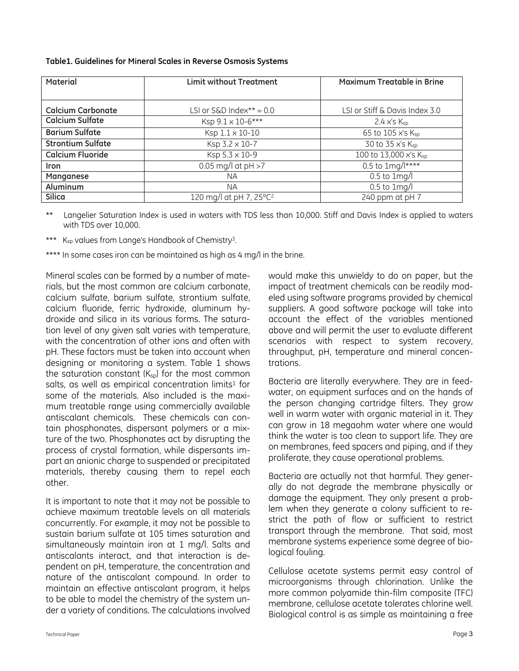| Table1. Guidelines for Mineral Scales in Reverse Osmosis Systems |  |  |  |  |  |  |  |
|------------------------------------------------------------------|--|--|--|--|--|--|--|
|------------------------------------------------------------------|--|--|--|--|--|--|--|

| Material                 | <b>Limit without Treatment</b>      | <b>Maximum Treatable in Brine</b> |
|--------------------------|-------------------------------------|-----------------------------------|
|                          |                                     |                                   |
| <b>Calcium Carbonate</b> | LSI or S&D Index** = $0.0$          | LSI or Stiff & Davis Index 3.0    |
| <b>Calcium Sulfate</b>   | Ksp 9.1 x 10-6***                   | $2.4$ x's $K_{sp}$                |
| <b>Barium Sulfate</b>    | Ksp 1.1 x 10-10                     | 65 to 105 x's Ksp                 |
| <b>Strontium Sulfate</b> | Ksp 3.2 x 10-7                      | 30 to 35 x's Ksp                  |
| <b>Calcium Fluoride</b>  | Ksp 5.3 x 10-9                      | 100 to 13,000 x's Ksp             |
| <b>Iron</b>              | 0.05 mg/l at $pH > 7$               | $0.5$ to 1mg/l****                |
| Manganese                | ΝA                                  | $0.5$ to $1$ mg/l                 |
| Aluminum                 | <b>NA</b>                           | $0.5$ to $1$ mg/l                 |
| <b>Silica</b>            | 120 mg/l at pH 7, 25°C <sup>2</sup> | 240 ppm at pH 7                   |

\*\* Langelier Saturation Index is used in waters with TDS less than 10,000. Stiff and Davis Index is applied to waters with TDS over 10,000.

\*\*\* K<sub>sp</sub> values from Lange's Handbook of Chemistry<sup>3</sup>.

\*\*\*\* In some cases iron can be maintained as high as 4 mg/l in the brine.

Mineral scales can be formed by a number of materials, but the most common are calcium carbonate, calcium sulfate, barium sulfate, strontium sulfate, calcium fluoride, ferric hydroxide, aluminum hydroxide and silica in its various forms. The saturation level of any given salt varies with temperature, with the concentration of other ions and often with pH. These factors must be taken into account when designing or monitoring a system. Table 1 shows the saturation constant  $(K_{sp})$  for the most common salts, as well as empirical concentration limits<sup>1</sup> for some of the materials. Also included is the maximum treatable range using commercially available antiscalant chemicals. These chemicals can contain phosphonates, dispersant polymers or a mixture of the two. Phosphonates act by disrupting the process of crystal formation, while dispersants impart an anionic charge to suspended or precipitated materials, thereby causing them to repel each other.

It is important to note that it may not be possible to achieve maximum treatable levels on all materials concurrently. For example, it may not be possible to sustain barium sulfate at 105 times saturation and simultaneously maintain iron at 1 mg/l. Salts and antiscalants interact, and that interaction is dependent on pH, temperature, the concentration and nature of the antiscalant compound. In order to maintain an effective antiscalant program, it helps to be able to model the chemistry of the system under a variety of conditions. The calculations involved would make this unwieldy to do on paper, but the impact of treatment chemicals can be readily modeled using software programs provided by chemical suppliers. A good software package will take into account the effect of the variables mentioned above and will permit the user to evaluate different scenarios with respect to system recovery, throughput, pH, temperature and mineral concentrations.

Bacteria are literally everywhere. They are in feedwater, on equipment surfaces and on the hands of the person changing cartridge filters. They grow well in warm water with organic material in it. They can grow in 18 megaohm water where one would think the water is too clean to support life. They are on membranes, feed spacers and piping, and if they proliferate, they cause operational problems.

Bacteria are actually not that harmful. They generally do not degrade the membrane physically or damage the equipment. They only present a problem when they generate a colony sufficient to restrict the path of flow or sufficient to restrict transport through the membrane. That said, most membrane systems experience some degree of biological fouling.

Cellulose acetate systems permit easy control of microorganisms through chlorination. Unlike the more common polyamide thin-film composite (TFC) membrane, cellulose acetate tolerates chlorine well. Biological control is as simple as maintaining a free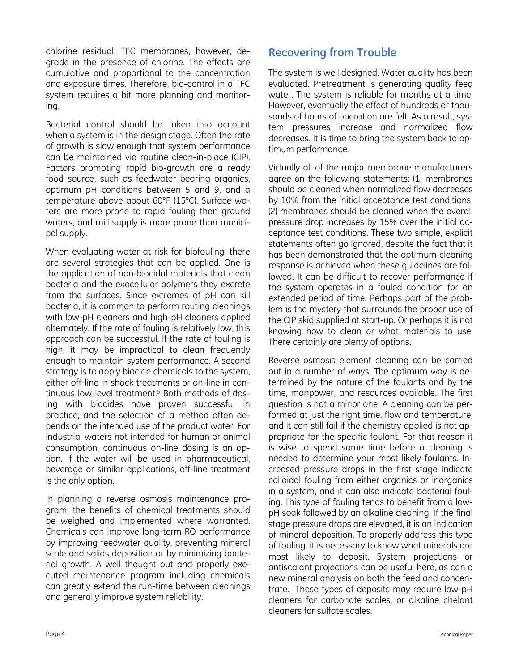chlorine residual. TFC membranes, however, degrade in the presence of chlorine. The effects are cumulative and proportional to the concentration and exposure times. Therefore, bio-control in a TFC system requires a bit more planning and monitoring.

Bacterial control should be taken into account when a system is in the design stage. Often the rate of growth is slow enough that system performance can be maintained via routine clean-in-place (CIP). Factors promoting rapid bio-growth are a ready food source, such as feedwater bearing organics, optimum pH conditions between 5 and 9, and a temperature above about 60°F (15°C). Surface waters are more prone to rapid fouling than ground waters, and mill supply is more prone than municipal supply.

When evaluating water at risk for biofouling, there are several strategies that can be applied. One is the application of non-biocidal materials that clean bacteria and the exocellular polymers they excrete from the surfaces. Since extremes of pH can kill bacteria, it is common to perform routing cleanings with low-pH cleaners and high-pH cleaners applied alternately. If the rate of fouling is relatively low, this approach can be successful. If the rate of fouling is high, it may be impractical to clean frequently enough to maintain system performance. A second strategy is to apply biocide chemicals to the system, either off-line in shock treatments or on-line in continuous low-level treatment.5 Both methods of dosing with biocides have proven successful in practice, and the selection of a method often depends on the intended use of the product water. For industrial waters not intended for human or animal consumption, continuous on-line dosing is an option. If the water will be used in pharmaceutical, beverage or similar applications, off-line treatment is the only option.

In planning a reverse osmosis maintenance program, the benefits of chemical treatments should be weighed and implemented where warranted. Chemicals can improve long-term RO performance by improving feedwater quality, preventing mineral scale and solids deposition or by minimizing bacterial growth. A well thought out and properly executed maintenance program including chemicals can greatly extend the run-time between cleanings and generally improve system reliability.

# **Recovering from Trouble**

The system is well designed. Water quality has been evaluated. Pretreatment is generating quality feed water. The system is reliable for months at a time. However, eventually the effect of hundreds or thousands of hours of operation are felt. As a result, system pressures increase and normalized flow decreases. It is time to bring the system back to optimum performance.

Virtually all of the major membrane manufacturers agree on the following statements: (1) membranes should be cleaned when normalized flow decreases by 10% from the initial acceptance test conditions, (2) membranes should be cleaned when the overall pressure drop increases by 15% over the initial acceptance test conditions. These two simple, explicit statements often go ignored, despite the fact that it has been demonstrated that the optimum cleaning response is achieved when these guidelines are followed. It can be difficult to recover performance if the system operates in a fouled condition for an extended period of time. Perhaps part of the problem is the mystery that surrounds the proper use of the CIP skid supplied at start-up. Or perhaps it is not knowing how to clean or what materials to use. There certainly are plenty of options.

Reverse osmosis element cleaning can be carried out in a number of ways. The optimum way is determined by the nature of the foulants and by the time, manpower, and resources available. The first question is not a minor one. A cleaning can be performed at just the right time, flow and temperature, and it can still fail if the chemistry applied is not appropriate for the specific foulant. For that reason it is wise to spend some time before a cleaning is needed to determine your most likely foulants. Increased pressure drops in the first stage indicate colloidal fouling from either organics or inorganics in a system, and it can also indicate bacterial fouling. This type of fouling tends to benefit from a lowpH soak followed by an alkaline cleaning. If the final stage pressure drops are elevated, it is an indication of mineral deposition. To properly address this type of fouling, it is necessary to know what minerals are most likely to deposit. System projections or antiscalant projections can be useful here, as can a new mineral analysis on both the feed and concentrate. These types of deposits may require low-pH cleaners for carbonate scales, or alkaline chelant cleaners for sulfate scales.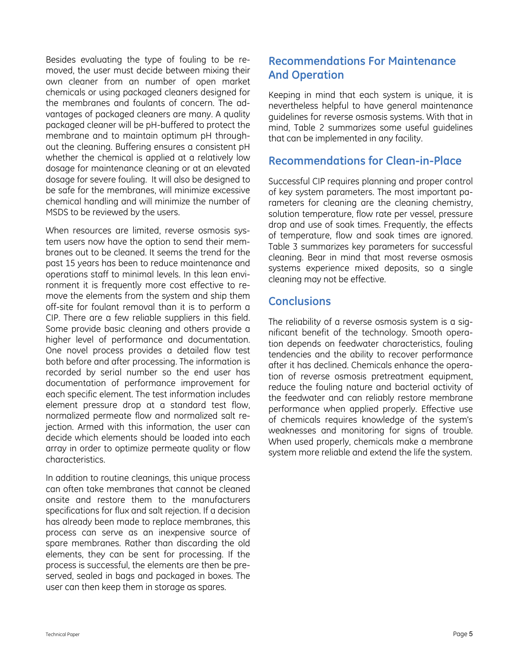Besides evaluating the type of fouling to be removed, the user must decide between mixing their own cleaner from an number of open market chemicals or using packaged cleaners designed for the membranes and foulants of concern. The advantages of packaged cleaners are many. A quality packaged cleaner will be pH-buffered to protect the membrane and to maintain optimum pH throughout the cleaning. Buffering ensures a consistent pH whether the chemical is applied at a relatively low dosage for maintenance cleaning or at an elevated dosage for severe fouling. It will also be designed to be safe for the membranes, will minimize excessive chemical handling and will minimize the number of MSDS to be reviewed by the users.

When resources are limited, reverse osmosis system users now have the option to send their membranes out to be cleaned. It seems the trend for the past 15 years has been to reduce maintenance and operations staff to minimal levels. In this lean environment it is frequently more cost effective to remove the elements from the system and ship them off-site for foulant removal than it is to perform a CIP. There are a few reliable suppliers in this field. Some provide basic cleaning and others provide a higher level of performance and documentation. One novel process provides a detailed flow test both before and after processing. The information is recorded by serial number so the end user has documentation of performance improvement for each specific element. The test information includes element pressure drop at a standard test flow, normalized permeate flow and normalized salt rejection. Armed with this information, the user can decide which elements should be loaded into each array in order to optimize permeate quality or flow characteristics.

In addition to routine cleanings, this unique process can often take membranes that cannot be cleaned onsite and restore them to the manufacturers specifications for flux and salt rejection. If a decision has already been made to replace membranes, this process can serve as an inexpensive source of spare membranes. Rather than discarding the old elements, they can be sent for processing. If the process is successful, the elements are then be preserved, sealed in bags and packaged in boxes. The user can then keep them in storage as spares.

# **Recommendations For Maintenance And Operation**

Keeping in mind that each system is unique, it is nevertheless helpful to have general maintenance guidelines for reverse osmosis systems. With that in mind, Table 2 summarizes some useful guidelines that can be implemented in any facility.

#### **Recommendations for Clean-in-Place**

Successful CIP requires planning and proper control of key system parameters. The most important parameters for cleaning are the cleaning chemistry, solution temperature, flow rate per vessel, pressure drop and use of soak times. Frequently, the effects of temperature, flow and soak times are ignored. Table 3 summarizes key parameters for successful cleaning. Bear in mind that most reverse osmosis systems experience mixed deposits, so a single cleaning may not be effective.

# **Conclusions**

The reliability of a reverse osmosis system is a significant benefit of the technology. Smooth operation depends on feedwater characteristics, fouling tendencies and the ability to recover performance after it has declined. Chemicals enhance the operation of reverse osmosis pretreatment equipment, reduce the fouling nature and bacterial activity of the feedwater and can reliably restore membrane performance when applied properly. Effective use of chemicals requires knowledge of the system's weaknesses and monitoring for signs of trouble. When used properly, chemicals make a membrane system more reliable and extend the life the system.